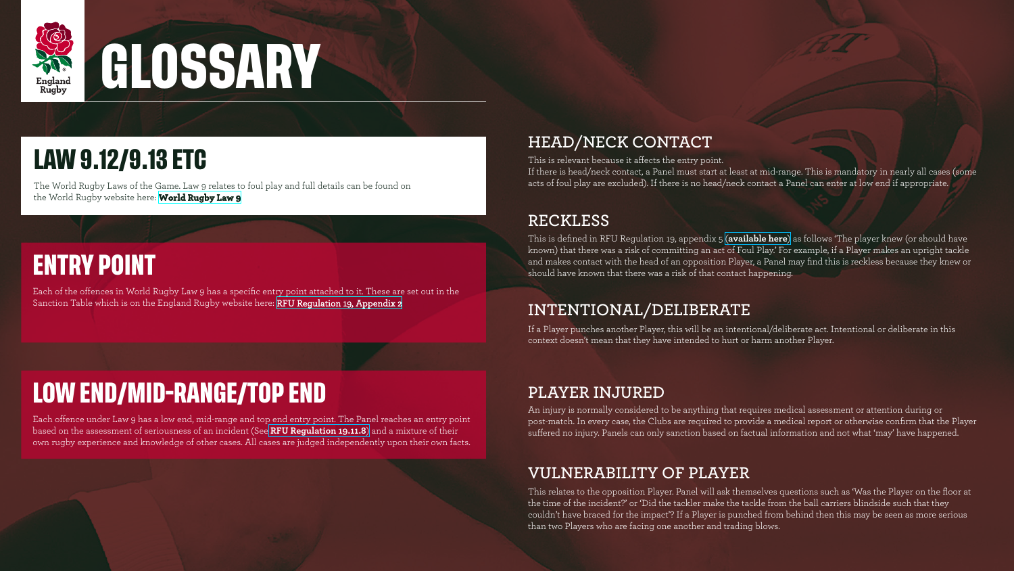

# **GLOSSARY**

Each of the offences in World Rugby Law 9 has a specific entry point attached to it. These are set out in the Sanction Table which is on the England Rugby website here: [RFU Regulation 19, Appendix 2](https://www.englandrugby.com//dxdam/bb/bb62fd78-2c15-4b11-a299-5bd464eaa43b/Regulation%2019%20Appendix%202%20(Jan22).pdf)

## **ENTRY POINT**

# **LOW END/MID-RANGE/TOP END**

Each offence under Law 9 has a low end, mid-range and top end entry point. The Panel reaches an entry point based on the assessment of seriousness of an incident (See **[RFU Regulation 19.11.8](https://www.englandrugby.com//dxdam/dc/dc66bb2e-9292-4a13-9d61-d3c261379471/Regulation%2019%20(Jan22).pdf)**) and a mixture of their own rugby experience and knowledge of other cases. All cases are judged independently upon their own facts.

#### **HEAD/NECK CONTACT**

This is relevant because it affects the entry point.

If there is head/neck contact, a Panel must start at least at mid-range. This is mandatory in nearly all cases (some acts of foul play are excluded). If there is no head/neck contact a Panel can enter at low end if appropriate.

An injury is normally considered to be anything that requires medical assessment or attention during or post-match. In every case, the Clubs are required to provide a medical report or otherwise confirm that the Player suffered no injury. Panels can only sanction based on factual information and not what 'may' have happened.

#### **RECKLESS**

This is defined in RFU Regulation 19, appendix 5 (**[available here](https://www.englandrugby.com//dxdam/86/8691a69a-6810-4024-8e7b-15e6aaa11cee/Regulation%2019%20Appendix%205.pdf)**) as follows 'The player knew (or should have known) that there was a risk of committing an act of Foul Play.' For example, if a Player makes an upright tackle and makes contact with the head of an opposition Player, a Panel may find this is reckless because they knew or should have known that there was a risk of that contact happening.

#### **INTENTIONAL/DELIBERATE**

If a Player punches another Player, this will be an intentional/deliberate act. Intentional or deliberate in this context doesn't mean that they have intended to hurt or harm another Player.

#### **PLAYER INJURED**

#### **VULNERABILITY OF PLAYER**

This relates to the opposition Player. Panel will ask themselves questions such as 'Was the Player on the floor at the time of the incident?' or 'Did the tackler make the tackle from the ball carriers blindside such that they couldn't have braced for the impact'? If a Player is punched from behind then this may be seen as more serious than two Players who are facing one another and trading blows.



# **LAW 9.12/9.13 ETC**

The World Rugby Laws of the Game. Law 9 relates to foul play and full details can be found on the World Rugby website here: **[World Rugby Law 9](https://www.world.rugby/the-game/laws/law/9)**